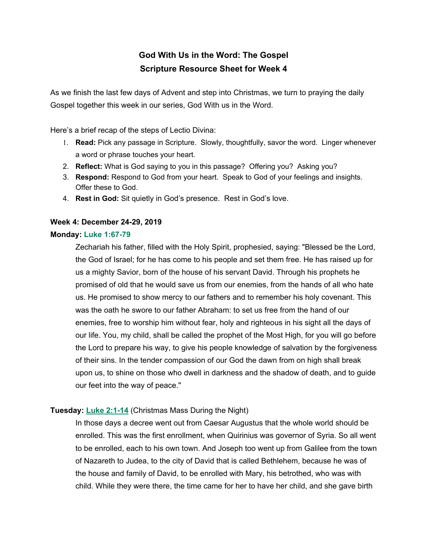# **God With Us in the Word: The Gospel Scripture Resource Sheet for Week 4**

As we finish the last few days of Advent and step into Christmas, we turn to praying the daily Gospel together this week in our series, God With us in the Word.

Here's a brief recap of the steps of Lectio Divina:

- 1. **Read:** Pick any passage in Scripture. Slowly, thoughtfully, savor the word. Linger whenever a word or phrase touches your heart.
- 2. **Reflect:** What is God saying to you in this passage? Offering you? Asking you?
- 3. **Respond:** Respond to God from your heart. Speak to God of your feelings and insights. Offer these to God.
- 4. **Rest in God:** Sit quietly in God's presence. Rest in God's love.

# **Week 4: December 24-29, 2019**

## **Monday: Luke [1:67-79](http://usccb.org/bible/readings/bible/luke/1:67)**

Zechariah his father, filled with the Holy Spirit, prophesied, saying: "Blessed be the Lord, the God of Israel; for he has come to his people and set them free. He has raised up for us a mighty Savior, born of the house of his servant David. Through his prophets he promised of old that he would save us from our enemies, from the hands of all who hate us. He promised to show mercy to our fathers and to remember his holy covenant. This was the oath he swore to our father Abraham: to set us free from the hand of our enemies, free to worship him without fear, holy and righteous in his sight all the days of our life. You, my child, shall be called the prophet of the Most High, for you will go before the Lord to prepare his way, to give his people knowledge of salvation by the forgiveness of their sins. In the tender compassion of our God the dawn from on high shall break upon us, to shine on those who dwell in darkness and the shadow of death, and to guide our feet into the way of peace."

# **Tuesday: Luke [2:1-14](http://usccb.org/bible/readings/bible/luke/2:1)** (Christmas Mass During the Night)

In those days a decree went out from Caesar Augustus that the whole world should be enrolled. This was the first enrollment, when Quirinius was governor of Syria. So all went to be enrolled, each to his own town. And Joseph too went up from Galilee from the town of Nazareth to Judea, to the city of David that is called Bethlehem, because he was of the house and family of David, to be enrolled with Mary, his betrothed, who was with child. While they were there, the time came for her to have her child, and she gave birth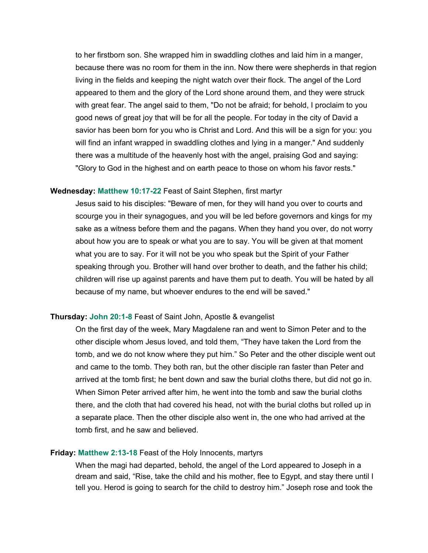to her firstborn son. She wrapped him in swaddling clothes and laid him in a manger, because there was no room for them in the inn. Now there were shepherds in that region living in the fields and keeping the night watch over their flock. The angel of the Lord appeared to them and the glory of the Lord shone around them, and they were struck with great fear. The angel said to them, "Do not be afraid; for behold, I proclaim to you good news of great joy that will be for all the people. For today in the city of David a savior has been born for you who is Christ and Lord. And this will be a sign for you: you will find an infant wrapped in swaddling clothes and lying in a manger." And suddenly there was a multitude of the heavenly host with the angel, praising God and saying: "Glory to God in the highest and on earth peace to those on whom his favor rests."

#### **Wednesday: Matthew [10:17-22](http://usccb.org/bible/readings/bible/matthew/10:17)** Feast of Saint Stephen, first martyr

Jesus said to his disciples: "Beware of men, for they will hand you over to courts and scourge you in their synagogues, and you will be led before governors and kings for my sake as a witness before them and the pagans. When they hand you over, do not worry about how you are to speak or what you are to say. You will be given at that moment what you are to say. For it will not be you who speak but the Spirit of your Father speaking through you. Brother will hand over brother to death, and the father his child; children will rise up against parents and have them put to death. You will be hated by all because of my name, but whoever endures to the end will be saved."

## **Thursday: John [20:1-8](http://usccb.org/bible/readings/bible/john/20:1)** Feast of Saint John, Apostle & evangelist

On the first day of the week, Mary Magdalene ran and went to Simon Peter and to the other disciple whom Jesus loved, and told them, "They have taken the Lord from the tomb, and we do not know where they put him." So Peter and the other disciple went out and came to the tomb. They both ran, but the other disciple ran faster than Peter and arrived at the tomb first; he bent down and saw the burial cloths there, but did not go in. When Simon Peter arrived after him, he went into the tomb and saw the burial cloths there, and the cloth that had covered his head, not with the burial cloths but rolled up in a separate place. Then the other disciple also went in, the one who had arrived at the tomb first, and he saw and believed.

## **Friday: [Matthew](http://usccb.org/bible/readings/bible/matthew/2:13) 2:13-18** Feast of the Holy Innocents, martyrs

When the magi had departed, behold, the angel of the Lord appeared to Joseph in a dream and said, "Rise, take the child and his mother, flee to Egypt, and stay there until I tell you. Herod is going to search for the child to destroy him." Joseph rose and took the